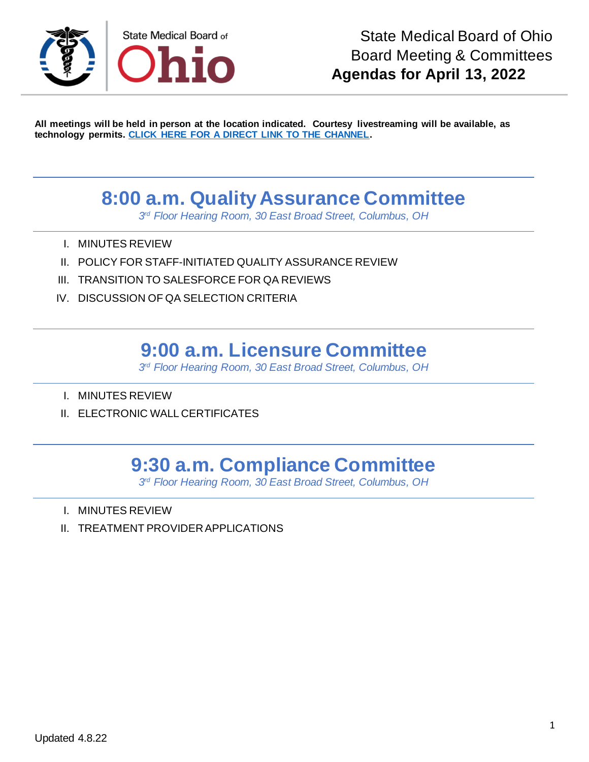

**All meetings will be held in person at the location indicated. Courtesy livestreaming will be available, as technology permits. [CLICK HERE FOR A DIRECT LINK TO THE CHANNEL.](https://www.youtube.com/channel/UCWBHBfwOyUtBZmBEZvtYPvA)**

### **8:00 a.m. Quality Assurance Committee**

*3 rd Floor Hearing Room, 30 East Broad Street, Columbus, OH*

- I. MINUTES REVIEW
- II. POLICY FOR STAFF-INITIATED QUALITY ASSURANCE REVIEW
- III. TRANSITION TO SALESFORCE FOR QA REVIEWS
- IV. DISCUSSION OF QA SELECTION CRITERIA

#### **9:00 a.m. Licensure Committee**

*3 rd Floor Hearing Room, 30 East Broad Street, Columbus, OH*

- I. MINUTES REVIEW
- II. ELECTRONIC WALL CERTIFICATES

# **9:30 a.m. Compliance Committee**

*3 rd Floor Hearing Room, 30 East Broad Street, Columbus, OH*

- I. MINUTES REVIEW
- II. TREATMENT PROVIDER APPLICATIONS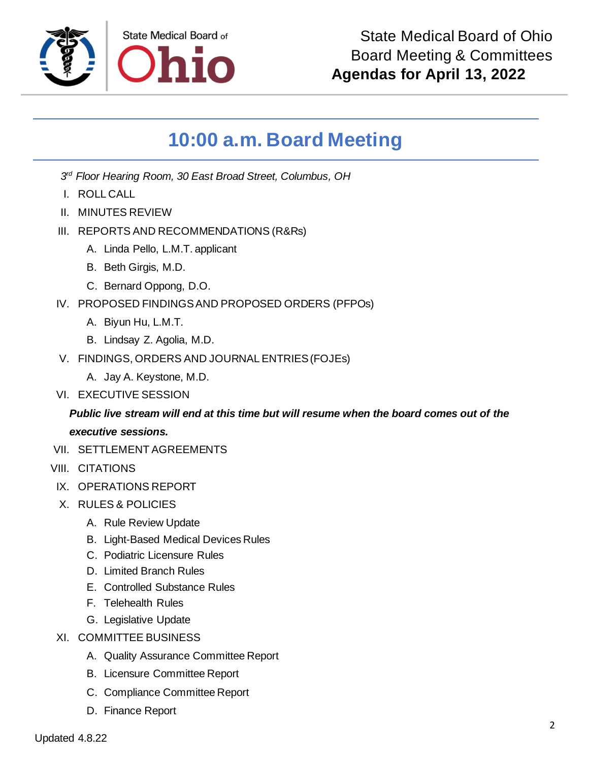

# **10:00 a.m. Board Meeting**

*3 rd Floor Hearing Room, 30 East Broad Street, Columbus, OH*

- I. ROLL CALL
- II. MINUTES REVIEW
- III. REPORTS AND RECOMMENDATIONS (R&Rs)
	- A. Linda Pello, L.M.T. applicant
	- B. Beth Girgis, M.D.
	- C. Bernard Oppong, D.O.
- IV. PROPOSED FINDINGS AND PROPOSED ORDERS (PFPOs)
	- A. Biyun Hu, L.M.T.
	- B. Lindsay Z. Agolia, M.D.
- V. FINDINGS, ORDERS AND JOURNAL ENTRIES (FOJEs)
	- A. Jay A. Keystone, M.D.
- VI. EXECUTIVE SESSION

#### *Public live stream will end at this time but will resume when the board comes out of the executive sessions.*

- VII. SETTLEMENT AGREEMENTS
- VIII. CITATIONS
- IX. OPERATIONS REPORT
- X. RULES & POLICIES
	- A. Rule Review Update
	- B. Light-Based Medical Devices Rules
	- C. Podiatric Licensure Rules
	- D. Limited Branch Rules
	- E. Controlled Substance Rules
	- F. Telehealth Rules
	- G. Legislative Update
- XI. COMMITTEE BUSINESS
	- A. Quality Assurance Committee Report
	- B. Licensure Committee Report
	- C. Compliance Committee Report
	- D. Finance Report